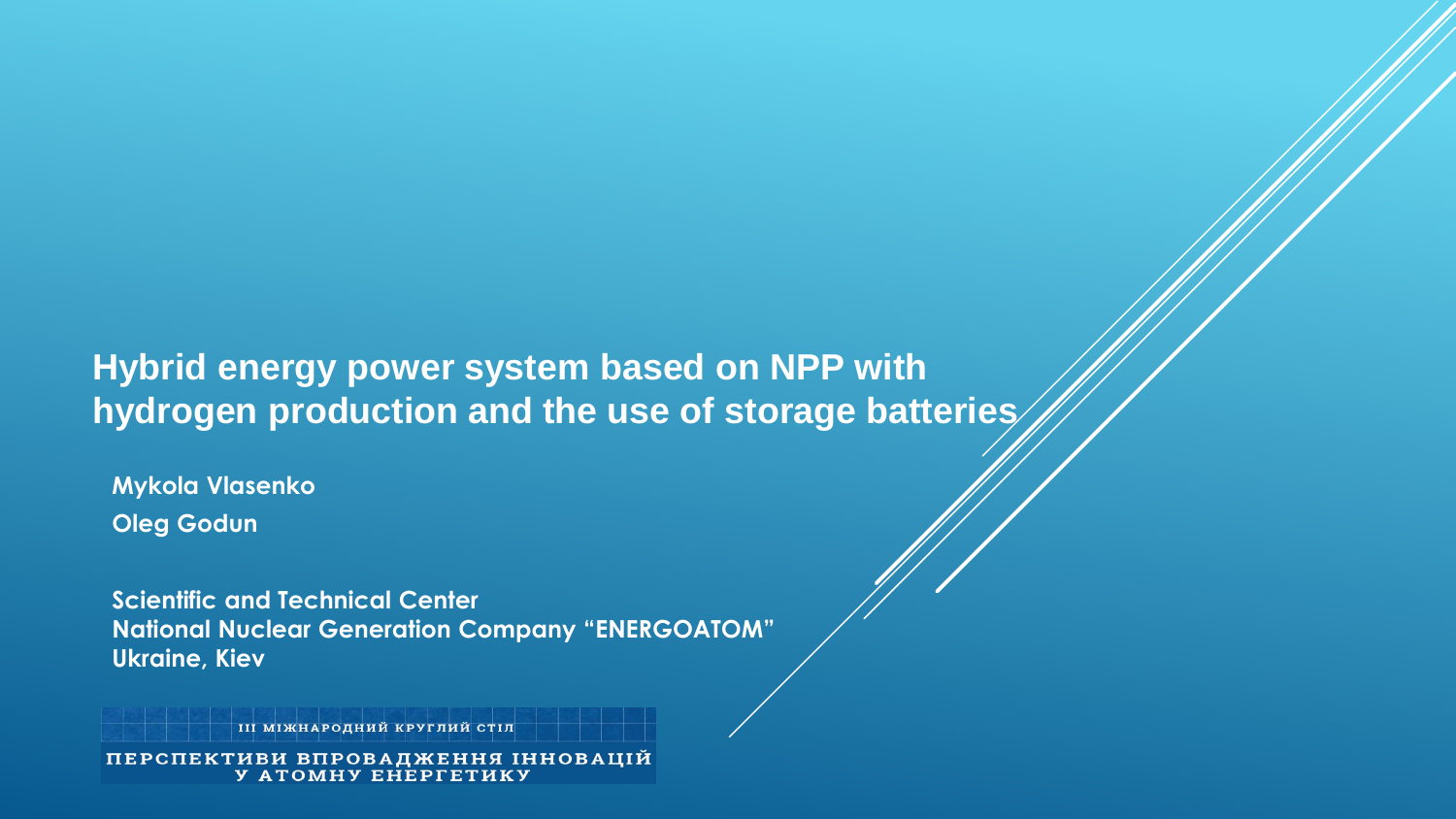# **Hybrid energy power system based on NPP with hydrogen production and the use of storage batteries**

**Mykola Vlasenko Oleg Godun**

**Scientific and Technical Center National Nuclear Generation Company "ENERGOATOM" Ukraine, Kiev**

ПІ МІЖНАРОДНИЙ КРУГЛИЙ СТІЛ

ПЕРСПЕКТИВИ ВПРОВАДЖЕННЯ ІННОВАЦІЙ У АТОМНУ ЕНЕРГЕТИКУ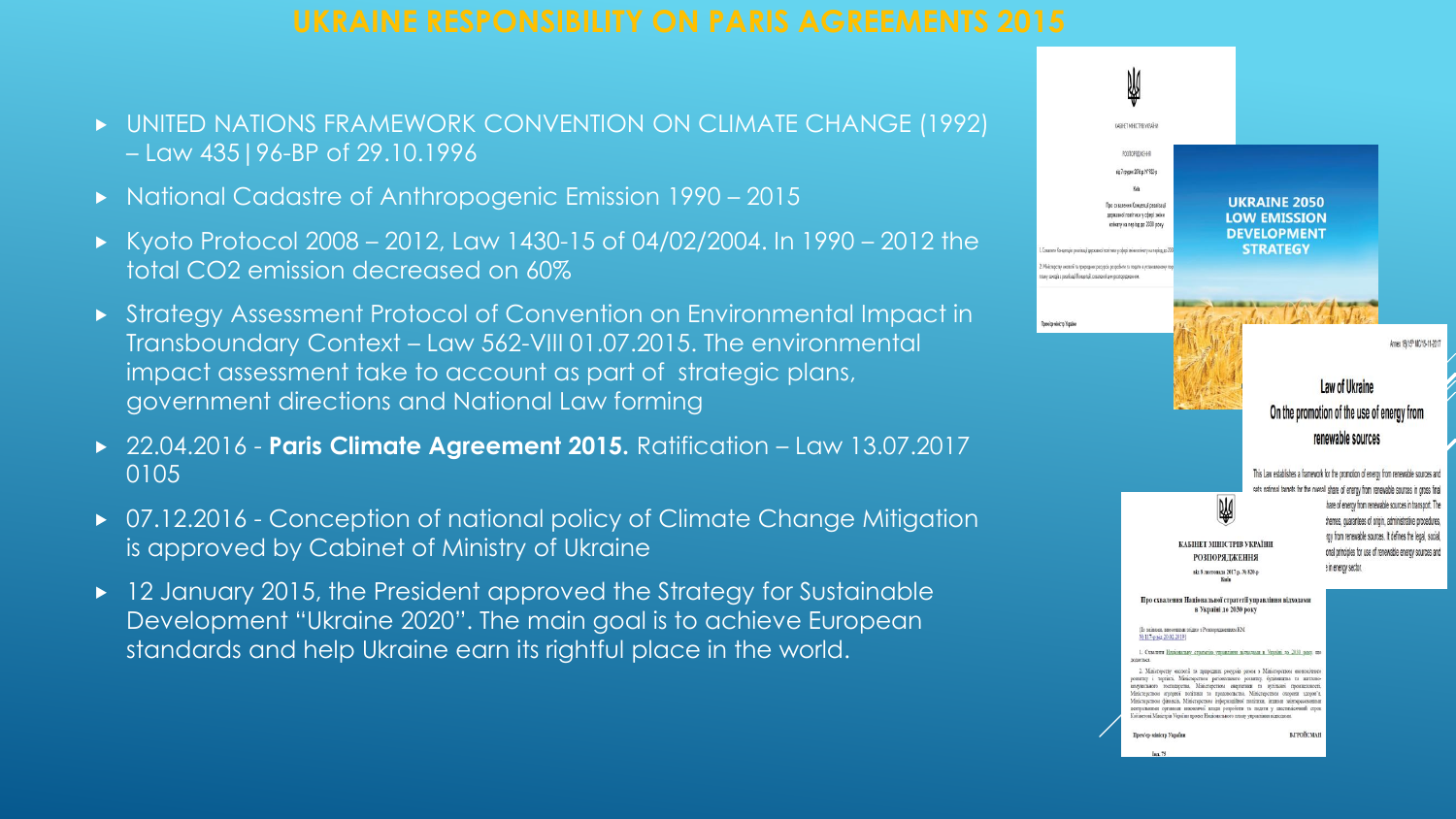- UNITED NATIONS FRAMEWORK CONVENTION ON CLIMATE CHANGE (1992) – Law 435|96-BP of 29.10.1996
- ► National Cadastre of Anthropogenic Emission 1990 2015
- $\triangleright$  Kyoto Protocol 2008 2012, Law 1430-15 of 04/02/2004. In 1990 2012 the total CO2 emission decreased on 60%
- Strategy Assessment Protocol of Convention on Environmental Impact in Transboundary Context – Law 562-VIII 01.07.2015. The environmental impact assessment take to account as part of strategic plans, government directions and National Law forming
- ▶ 22.04.2016 **Paris Climate Agreement 2015.** Ratification Law 13.07.2017 0105
- ▶ 07.12.2016 Conception of national policy of Climate Change Mitigation is approved by Cabinet of Ministry of Ukraine
- ▶ 12 January 2015, the President approved the Strategy for Sustainable Development "Ukraine 2020". The main goal is to achieve European standards and help Ukraine earn its rightful place in the world.

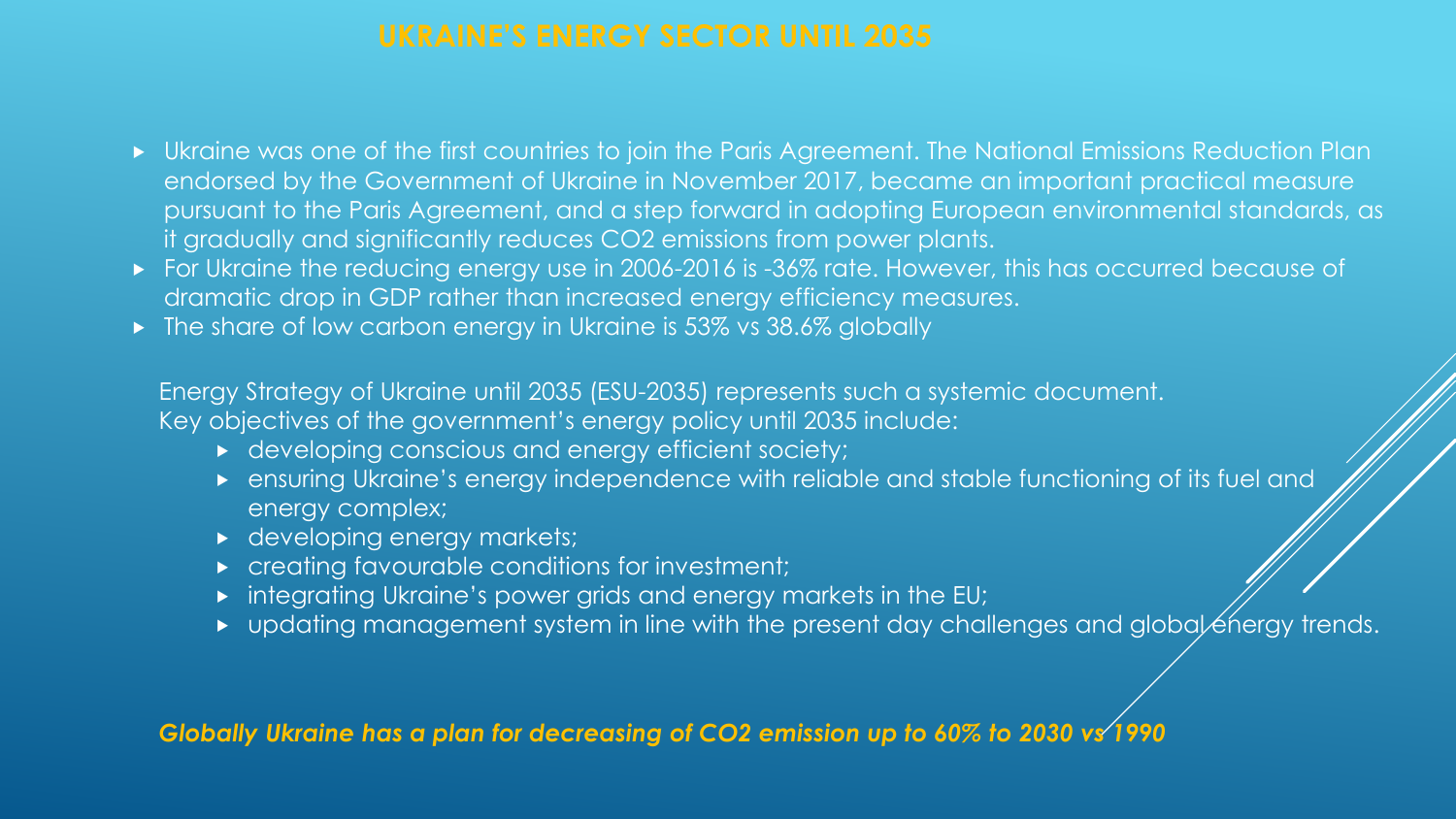- Ukraine was one of the first countries to join the Paris Agreement. The National Emissions Reduction Plan endorsed by the Government of Ukraine in November 2017, became an important practical measure pursuant to the Paris Agreement, and a step forward in adopting European environmental standards, as it gradually and significantly reduces CO2 emissions from power plants.
- For Ukraine the reducing energy use in 2006-2016 is -36% rate. However, this has occurred because of dramatic drop in GDP rather than increased energy efficiency measures.
- The share of low carbon energy in Ukraine is 53% vs 38.6% globally

Energy Strategy of Ukraine until 2035 (ESU-2035) represents such a systemic document. Key objectives of the government's energy policy until 2035 include:

- $\rightarrow$  developing conscious and energy efficient society;
- ensuring Ukraine's energy independence with reliable and stable functioning of its fuel and energy complex;
- developing energy markets;
- **EX a** creating favourable conditions for investment;
- integrating Ukraine's power grids and energy markets in the EU;
- $\rightarrow$  updating management system in line with the present day challenges and global energy trends.

*Globally Ukraine has a plan for decreasing of CO2 emission up to 60% to 2030 vs 1990*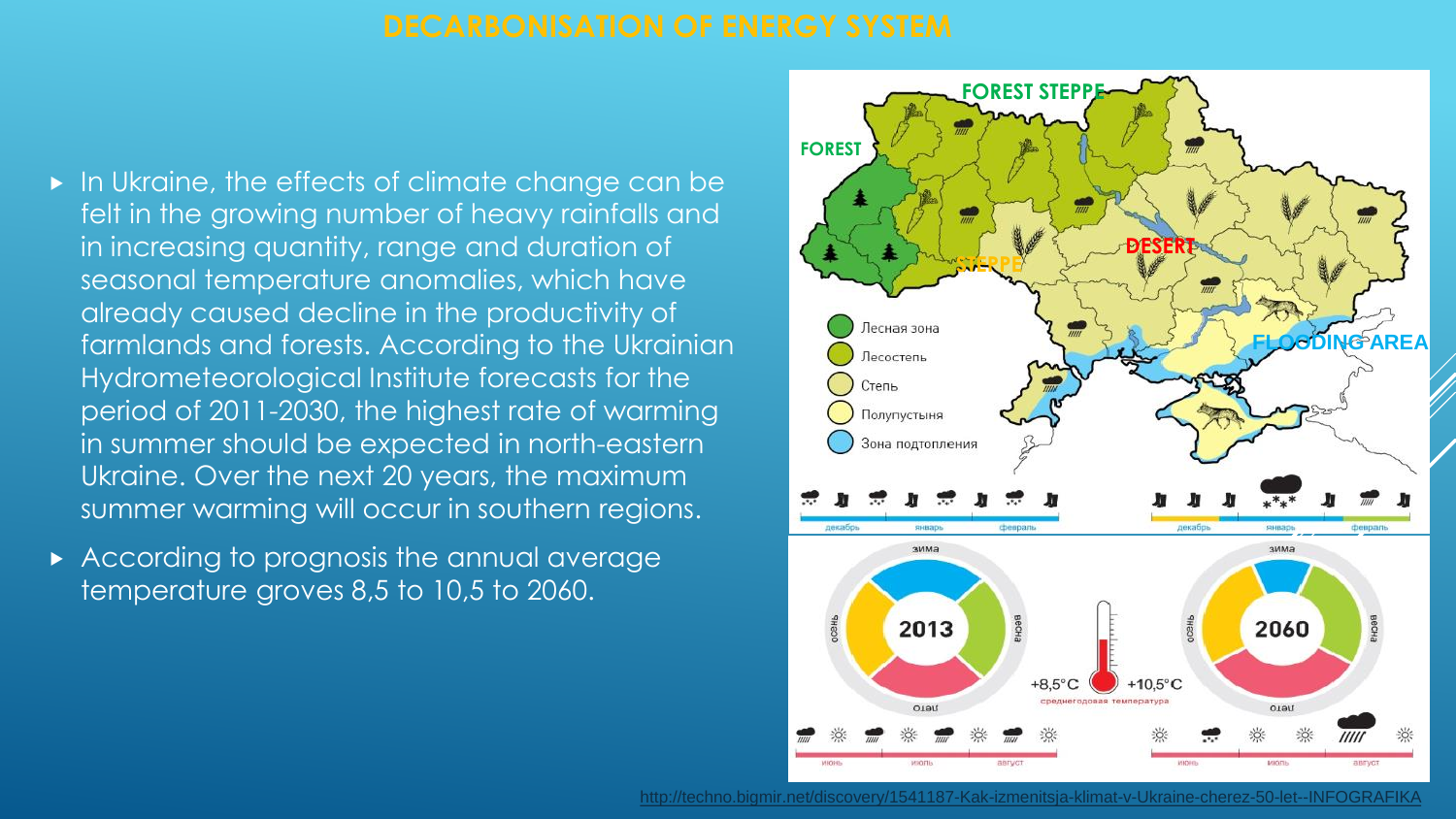- In Ukraine, the effects of climate change can be felt in the growing number of heavy rainfalls and in increasing quantity, range and duration of seasonal temperature anomalies, which have already caused decline in the productivity of farmlands and forests. According to the Ukrainian Hydrometeorological Institute forecasts for the period of 2011-2030, the highest rate of warming in summer should be expected in north-eastern Ukraine. Over the next 20 years, the maximum summer warming will occur in southern regions.
- According to prognosis the annual average temperature groves 8,5 to 10,5 to 2060.



[http://techno.bigmir.net/discovery/1541187-Kak-izmenitsja-klimat-v-Ukraine-cherez-50-let--INFOGRAFIKA](http://techno.bigmir.net/discovery/1541187-Kak-izmenitsja-klimat-v-Ukraine-cherez-50-let--INFOGRAFIKA-)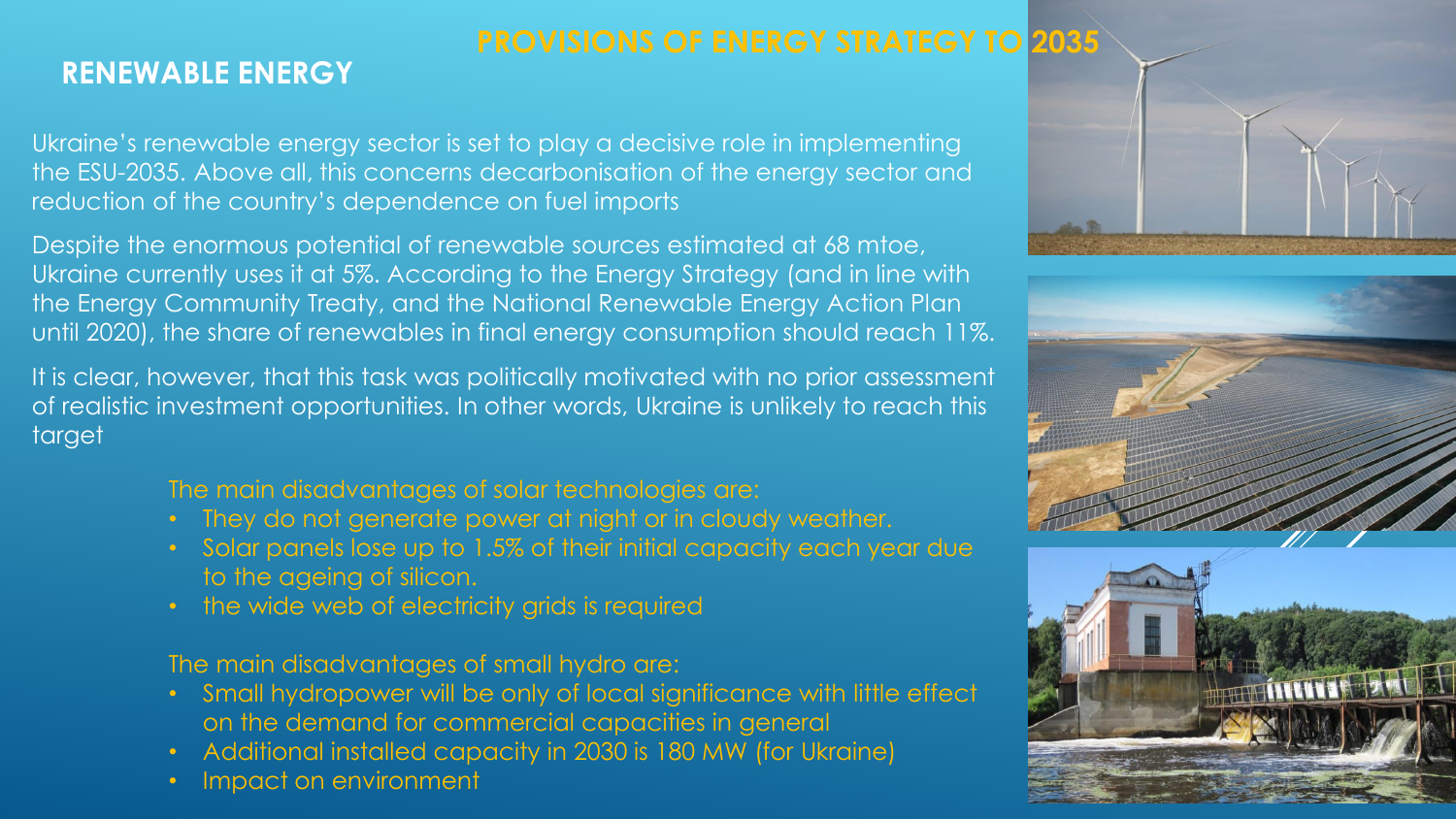## **PROVISIONS OF ENERGY STRATEGY TO 2035**

## **RENEWABLE ENERGY**

Ukraine's renewable energy sector is set to play a decisive role in implementing the ESU-2035. Above all, this concerns decarbonisation of the energy sector and reduction of the country's dependence on fuel imports

Despite the enormous potential of renewable sources estimated at 68 mtoe, Ukraine currently uses it at 5%. According to the Energy Strategy (and in line with the Energy Community Treaty, and the National Renewable Energy Action Plan until 2020), the share of renewables in final energy consumption should reach 11%.

It is clear, however, that this task was politically motivated with no prior assessment of realistic investment opportunities. In other words, Ukraine is unlikely to reach this target

### The main disadvantages of solar technologies are:

- They do not generate power at night or in cloudy weather.
- Solar panels lose up to 1.5% of their initial capacity each year due to the ageing of silicon.
- the wide web of electricity grids is required

The main disadvantages of small hydro are:

- Small hydropower will be only of local significance with little effect on the demand for commercial capacities in general
- Additional installed capacity in 2030 is 180 MW (for Ukraine)
- Impact on environment



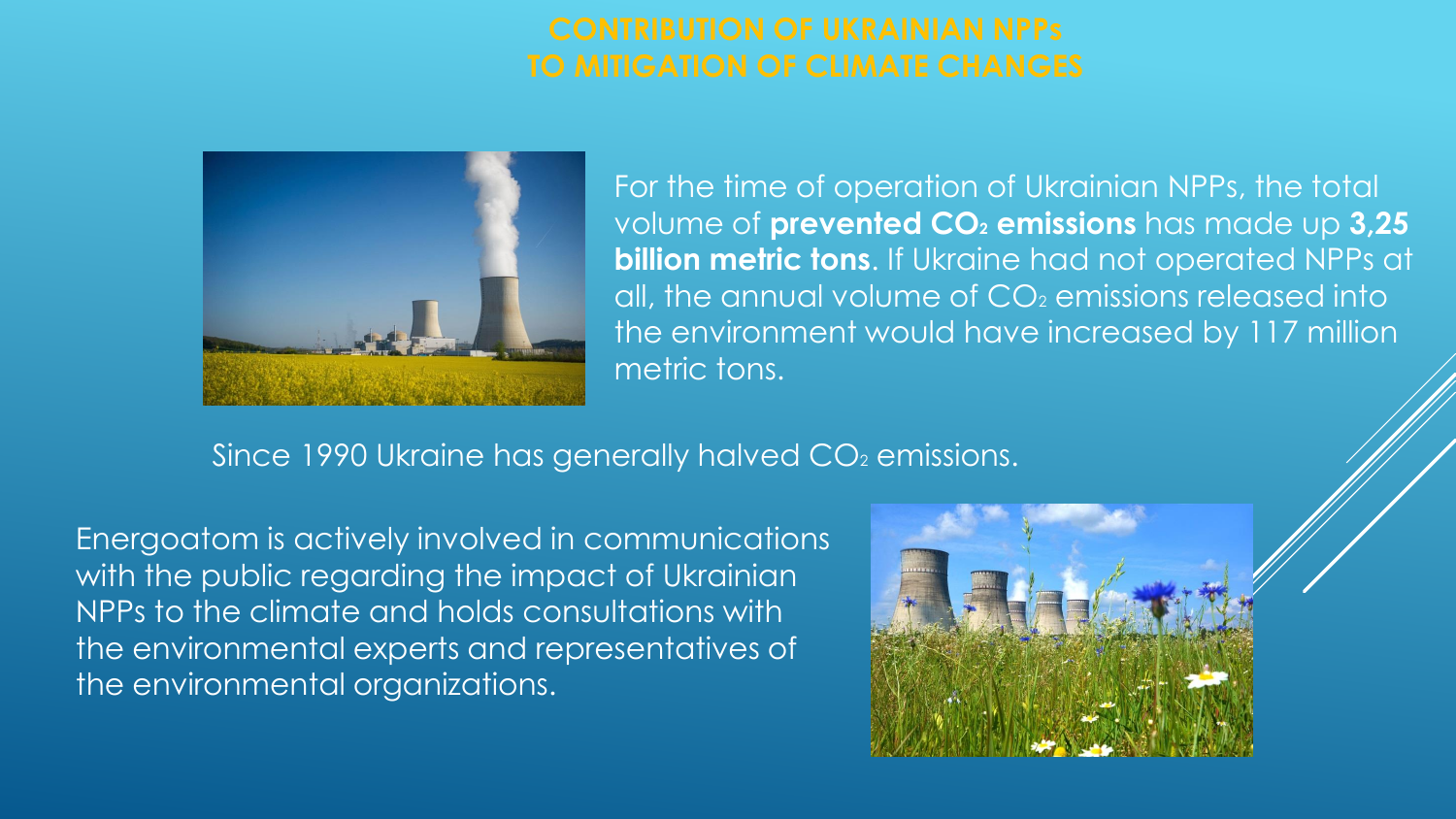

For the time of operation of Ukrainian NPPs, the total volume of **prevented СО<sup>2</sup> emissions** has made up **3,25 billion metric tons**. If Ukraine had not operated NPPs at all, the annual volume of  $CO<sub>2</sub>$  emissions released into the environment would have increased by 117 million metric tons.

Since 1990 Ukraine has generally halved CO<sub>2</sub> emissions.

Energoatom is actively involved in communications with the public regarding the impact of Ukrainian NPPs to the climate and holds consultations with the environmental experts and representatives of the environmental organizations.

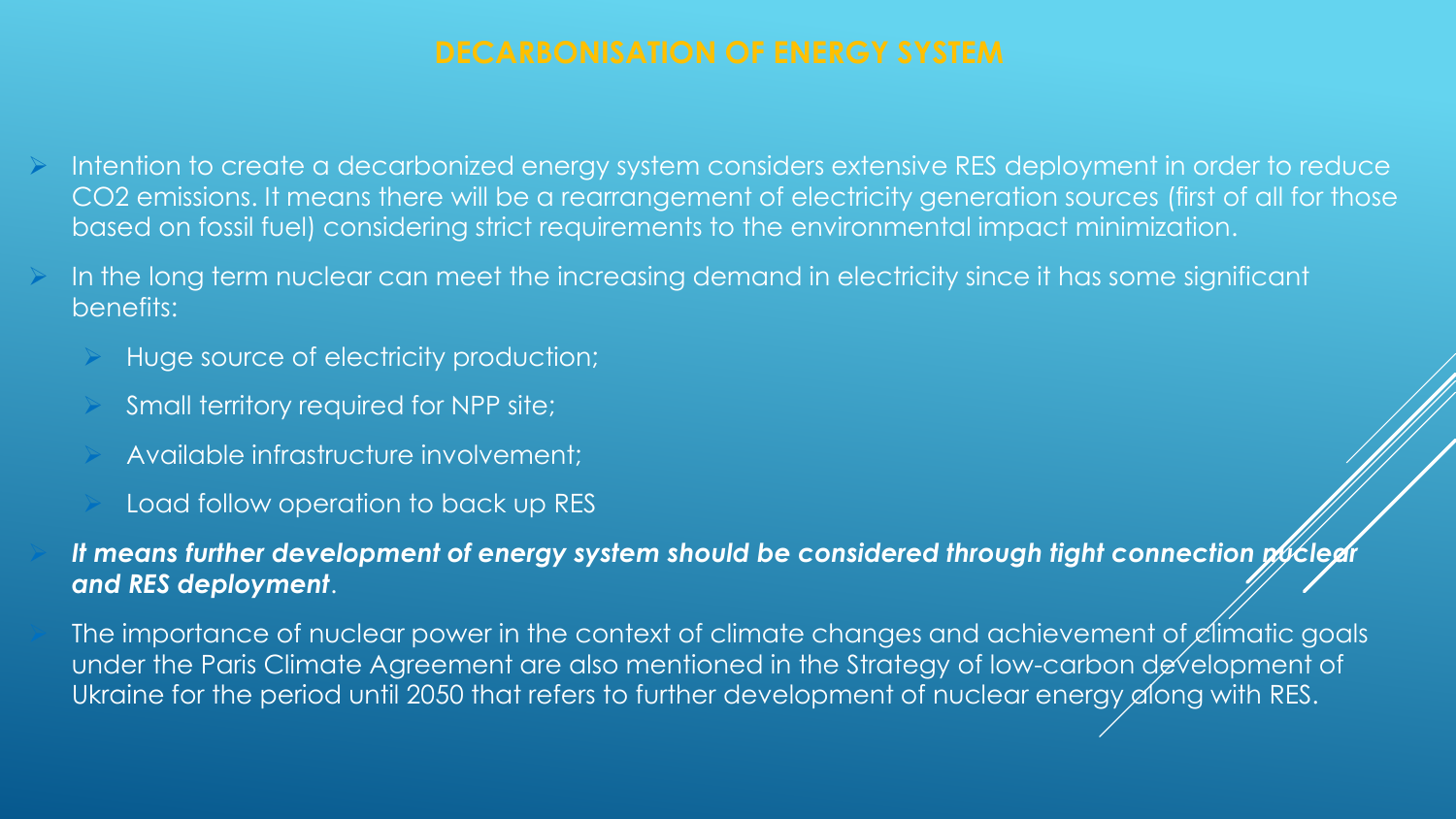- Intention to create a decarbonized energy system considers extensive RES deployment in order to reduce СО2 emissions. It means there will be a rearrangement of electricity generation sources (first of all for those based on fossil fuel) considering strict requirements to the environmental impact minimization.
- In the long term nuclear can meet the increasing demand in electricity since it has some significant benefits:
	- Huge source of electricity production;
	- Small territory required for NPP site;
	- Available infrastructure involvement;
	- Load follow operation to back up RES

*It means further development of energy system should be considered through tight connection puther and RES deployment*.

The importance of nuclear power in the context of climate changes and achievement of  $\mathcal{L}$ limatic goals under the Paris Climate Agreement are also mentioned in the Strategy of low-carbon development of Ukraine for the period until 2050 that refers to further development of nuclear energy along with RES.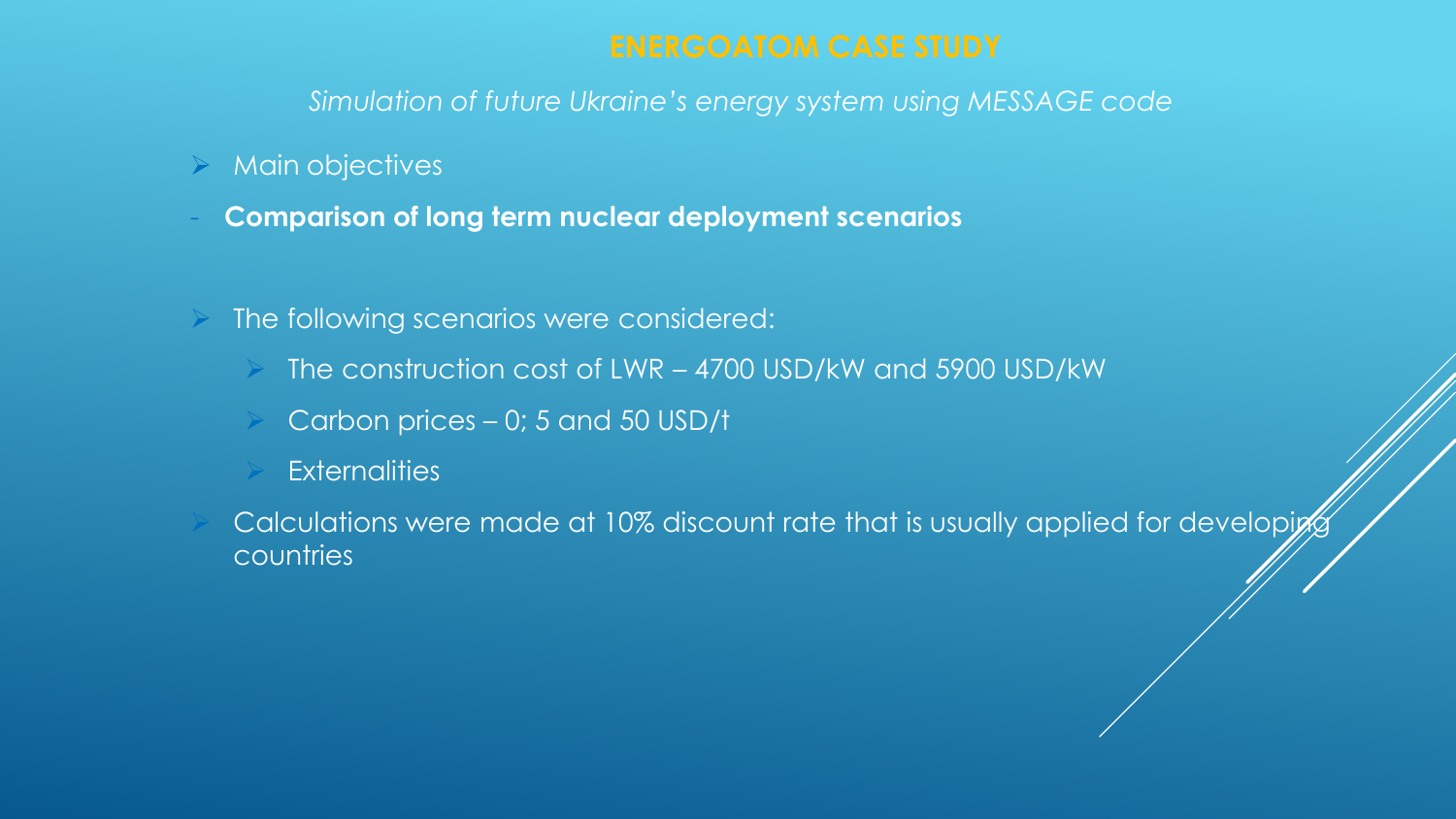### $\triangleright$  Main objectives

- **Comparison of long term nuclear deployment scenarios**
- The following scenarios were considered:
	- The construction cost of LWR 4700 USD/kW and 5900 USD/kW
	- Carbon prices 0; 5 and 50 USD/t
	- **Externalities**
	- Calculations were made at 10% discount rate that is usually applied for developion countries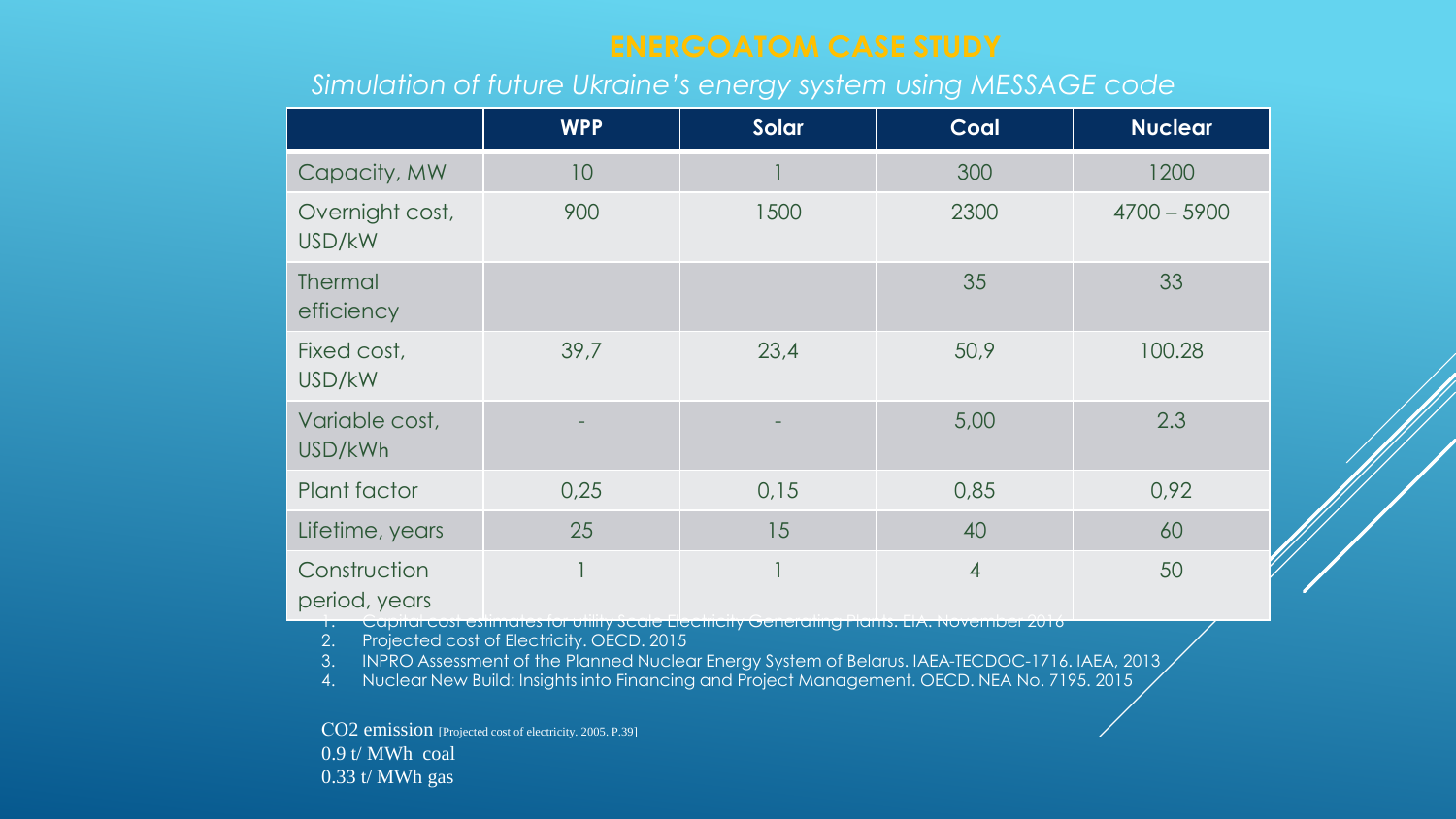|                               | <b>WPP</b> | Solar | Coal           | <b>Nuclear</b> |
|-------------------------------|------------|-------|----------------|----------------|
| Capacity, MW                  | 10         |       | 300            | 1200           |
| Overnight cost,<br>USD/kW     | 900        | 1500  | 2300           | $4700 - 5900$  |
| <b>Thermal</b><br>efficiency  |            |       | 35             | 33             |
| Fixed cost,<br>USD/kW         | 39,7       | 23,4  | 50,9           | 100.28         |
| Variable cost,<br>USD/kWh     |            |       | 5,00           | 2.3            |
| Plant factor                  | 0,25       | 0,15  | 0,85           | 0,92           |
| Lifetime, years               | 25         | 15    | 40             | 60             |
| Construction<br>period, years |            |       | $\overline{4}$ | 50             |

1. Capital cost estimates for utility Scale Electricity Generating Plants. EIA. Novеmber 2016 2. Projected cost of Electricity. OECD. 2015

3. INPRO Assessment of the Planned Nuclear Energy System of Belarus. IAEA-TECDOC-1716. IAEA, 2013

4. Nuclear New Build: Insights into Financing and Project Management. OECD. NEA No. 7195. 2015

СО2 emission [Projected cost of electricity. 2005. P.39] 0.9 t/ MWh coal 0.33 t/ MWh gas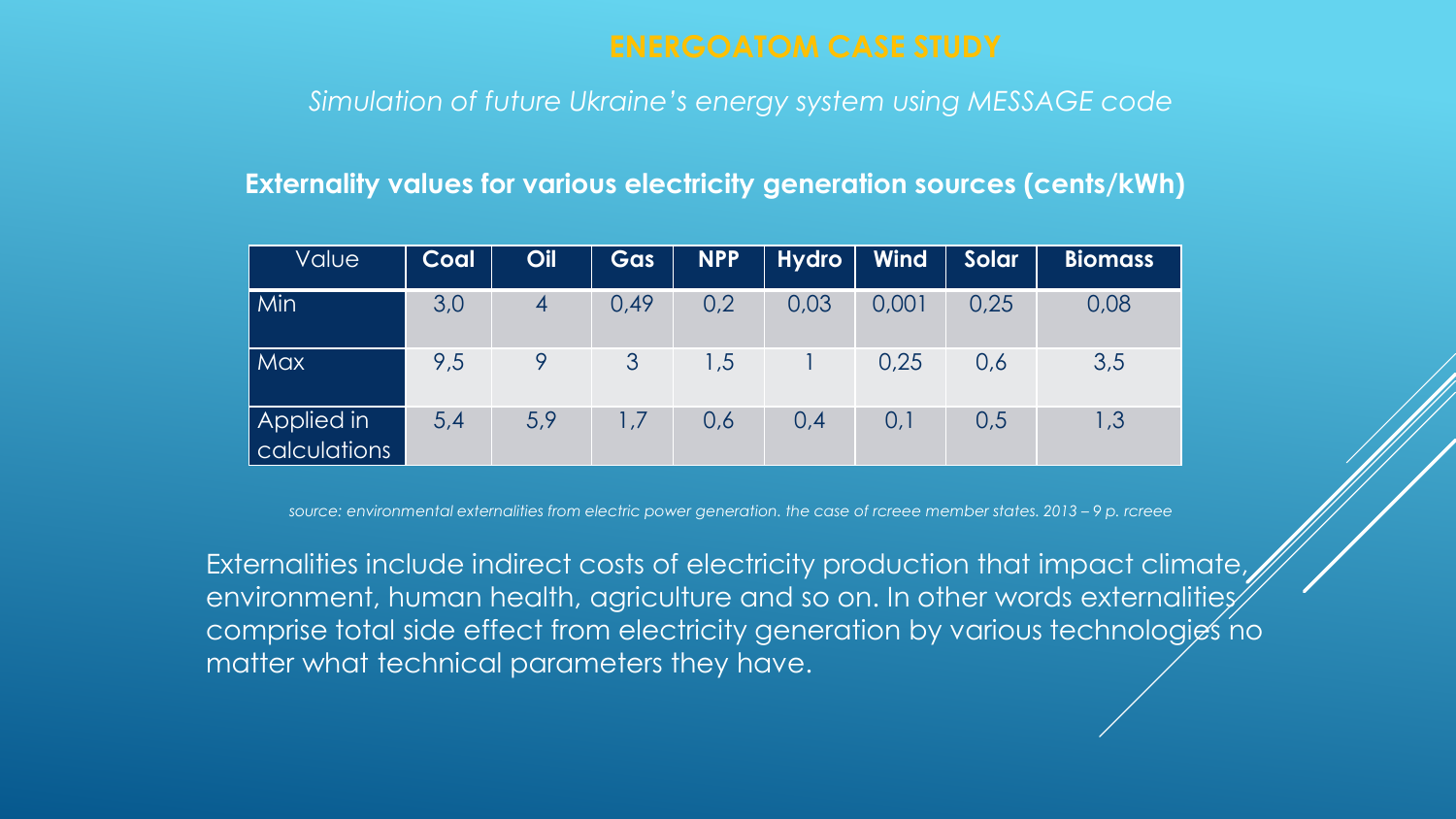### **Externality values for various electricity generation sources (cents/kWh)**

| Value                      | Coal | Oil | Gas  | <b>NPP</b> | <b>Hydro</b> | <b>Wind</b> | Solar | <b>Biomass</b> |
|----------------------------|------|-----|------|------------|--------------|-------------|-------|----------------|
| Min                        | 3,0  | 4   | 0,49 | 0,2        | 0,03         | 0,001       | 0,25  | 0,08           |
| <b>Max</b>                 | 9,5  |     | 3    | 1,5        |              | 0,25        | 0,6   | 3,5            |
| Applied in<br>calculations | 5,4  | 5,9 | 1,7  | 0,6        | 0,4          | 0,1         | 0,5   | 1,3            |

*source: environmental externalities from electric power generation. the case of rcreee member states. 2013 – 9 p. rcreee*

Externalities include indirect costs of electricity production that impact climate,  $|$ environment, human health, agriculture and so on. In other words externalities $\hat{z}$ comprise total side effect from electricity generation by various technologies no matter what technical parameters they have.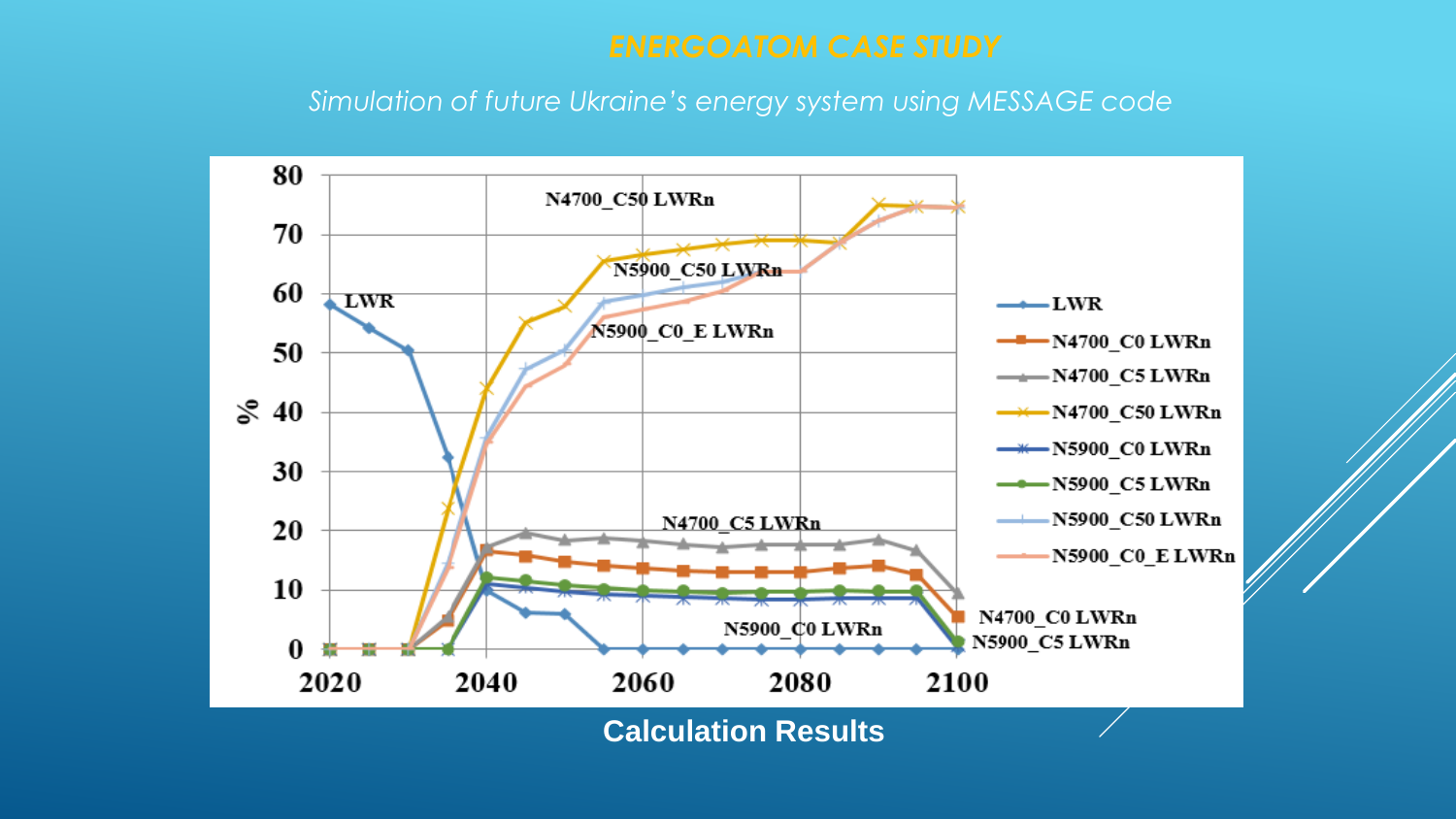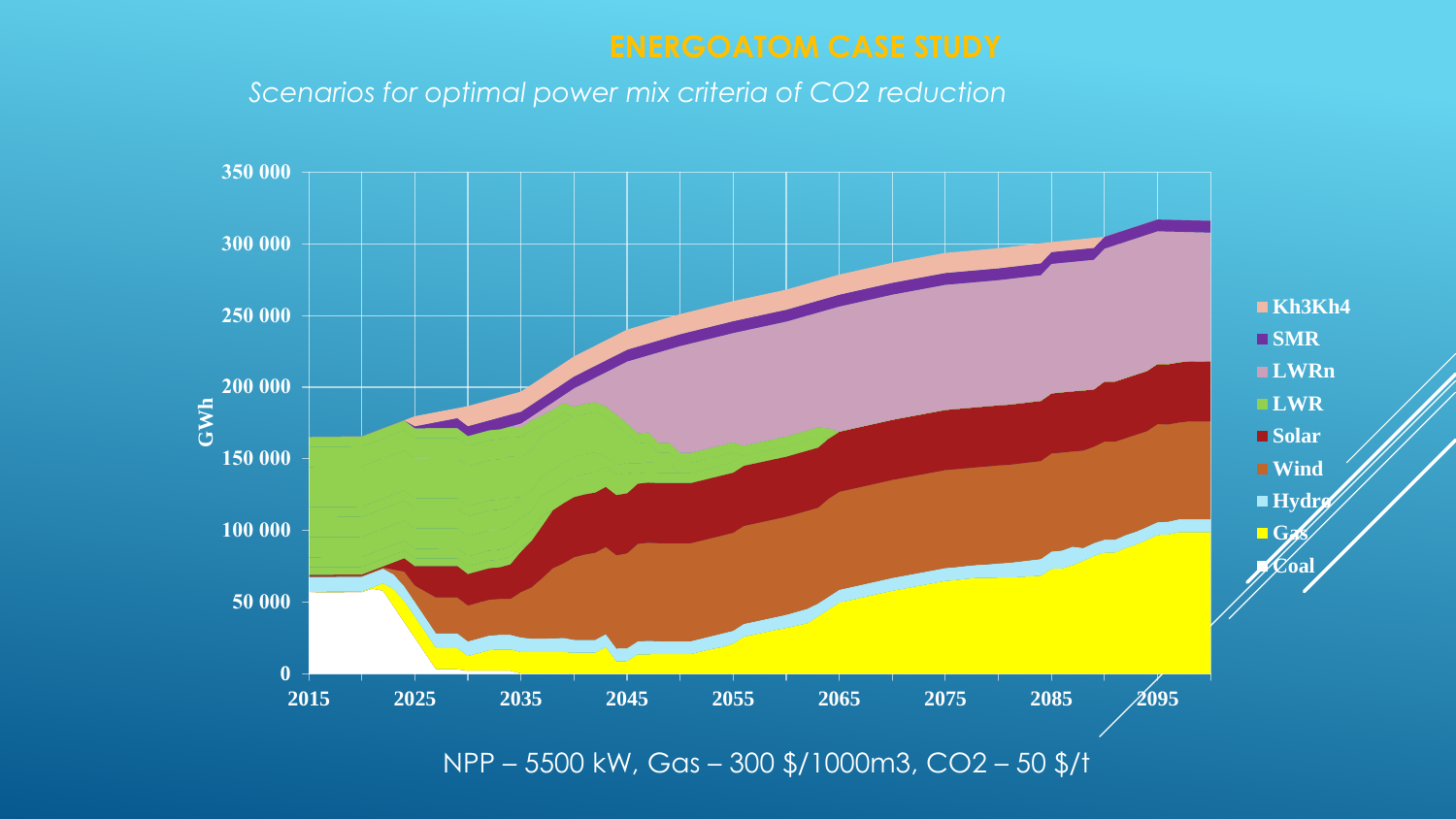*Scenarios for optimal power mix criteria of CO2 reduction*

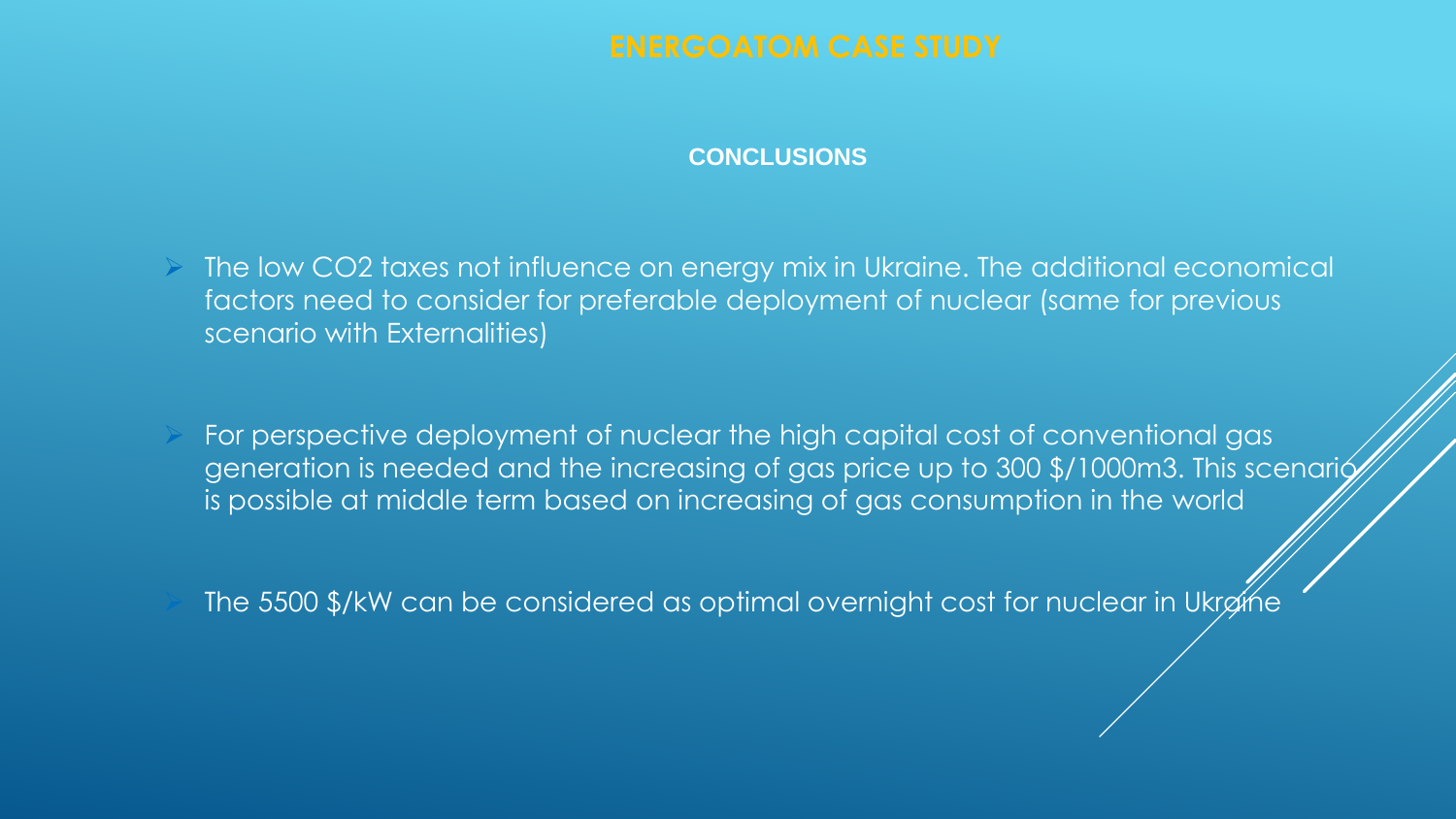### **CONCLUSIONS**

 $\triangleright$  The low CO2 taxes not influence on energy mix in Ukraine. The additional economical factors need to consider for preferable deployment of nuclear (same for previous scenario with Externalities)

 For perspective deployment of nuclear the high capital cost of conventional gas generation is needed and the increasing of gas price up to 300 \$/1000m3. This scenario is possible at middle term based on increasing of gas consumption in the world

The 5500 \$/kW can be considered as optimal overnight cost for nuclear in Ukraine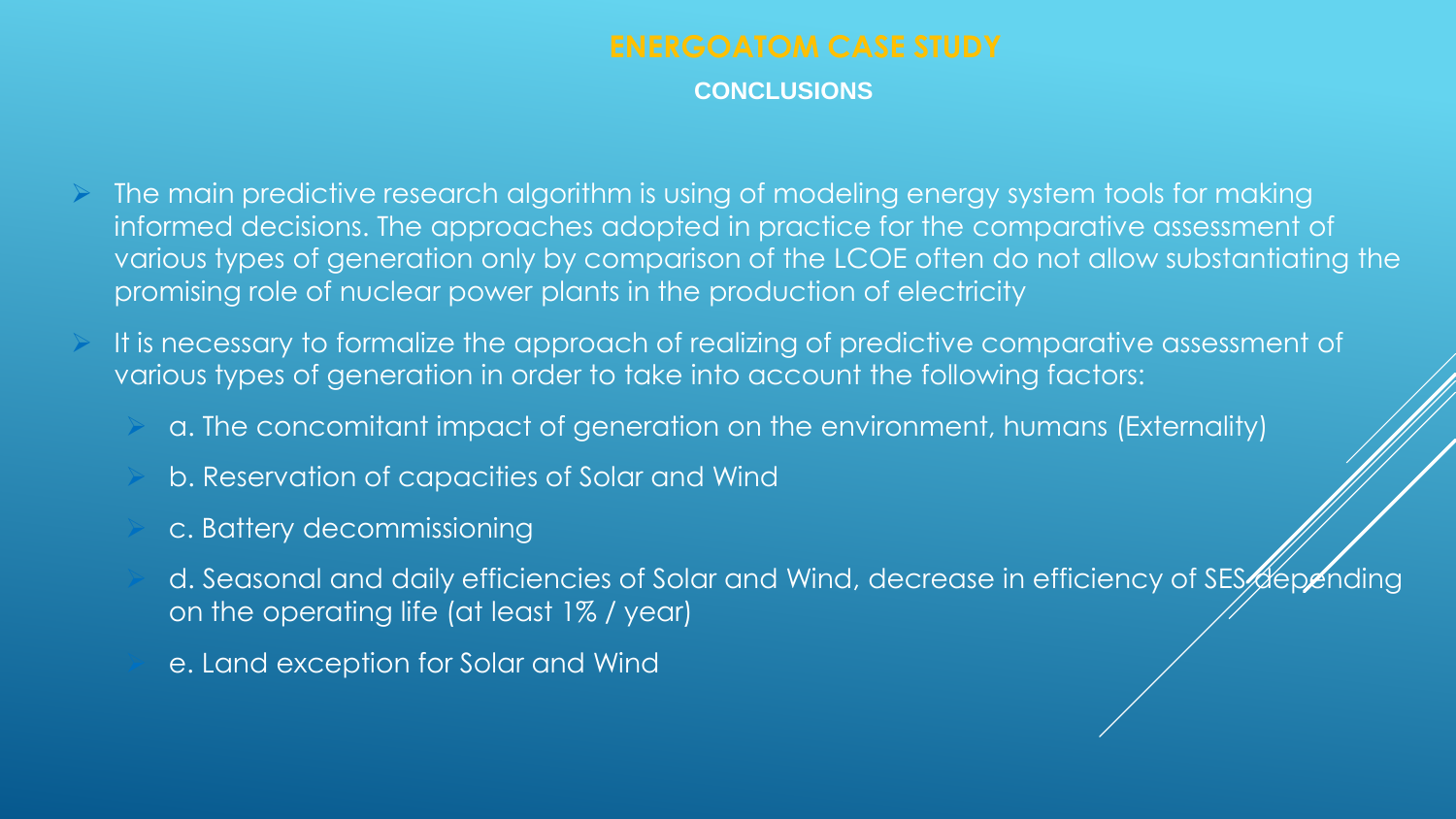**CONCLUSIONS**

- The main predictive research algorithm is using of modeling energy system tools for making informed decisions. The approaches adopted in practice for the comparative assessment of various types of generation only by comparison of the LCOE often do not allow substantiating the promising role of nuclear power plants in the production of electricity
- It is necessary to formalize the approach of realizing of predictive comparative assessment of various types of generation in order to take into account the following factors:
	- a. The concomitant impact of generation on the environment, humans (Externality)
	- b. Reservation of capacities of Solar and Wind
	- c. Battery decommissioning
	- d. Seasonal and daily efficiencies of Solar and Wind, decrease in efficiency of SES depending on the operating life (at least 1% / year)
	- e. Land exception for Solar and Wind